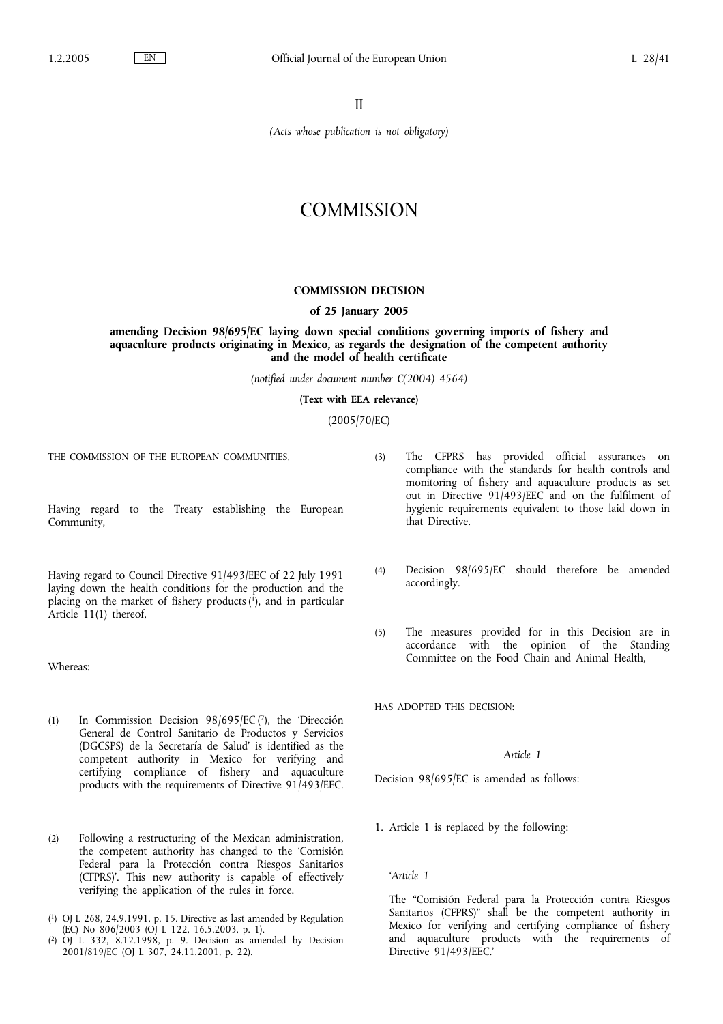II

*(Acts whose publication is not obligatory)*

# **COMMISSION**

# **COMMISSION DECISION**

# **of 25 January 2005**

**amending Decision 98/695/EC laying down special conditions governing imports of fishery and aquaculture products originating in Mexico, as regards the designation of the competent authority and the model of health certificate**

*(notified under document number C(2004) 4564)*

**(Text with EEA relevance)**

(2005/70/EC)

THE COMMISSION OF THE EUROPEAN COMMUNITIES,

Having regard to the Treaty establishing the European Community,

Having regard to Council Directive 91/493/EEC of 22 July 1991 laying down the health conditions for the production and the placing on the market of fishery products (1), and in particular Article 11(1) thereof,

Whereas:

- (1) In Commission Decision 98/695/EC (2), the 'Dirección General de Control Sanitario de Productos y Servicios (DGCSPS) de la Secretaría de Salud' is identified as the competent authority in Mexico for verifying and certifying compliance of fishery and aquaculture products with the requirements of Directive 91/493/EEC.
- (2) Following a restructuring of the Mexican administration, the competent authority has changed to the 'Comisión Federal para la Protección contra Riesgos Sanitarios (CFPRS)'. This new authority is capable of effectively verifying the application of the rules in force.
- (3) The CFPRS has provided official assurances on compliance with the standards for health controls and monitoring of fishery and aquaculture products as set out in Directive 91/493/EEC and on the fulfilment of hygienic requirements equivalent to those laid down in that Directive.
- (4) Decision 98/695/EC should therefore be amended accordingly.
- (5) The measures provided for in this Decision are in accordance with the opinion of the Standing Committee on the Food Chain and Animal Health,

HAS ADOPTED THIS DECISION:

## *Article 1*

Decision 98/695/EC is amended as follows:

1. Article 1 is replaced by the following:

#### *'Article 1*

The "Comisión Federal para la Protección contra Riesgos Sanitarios (CFPRS)" shall be the competent authority in Mexico for verifying and certifying compliance of fishery and aquaculture products with the requirements of Directive 91/493/EEC.'

<sup>(</sup> 1) OJ L 268, 24.9.1991, p. 15. Directive as last amended by Regulation (EC) No 806/2003 (OJ L 122, 16.5.2003, p. 1).

<sup>(</sup> 2) OJ L 332, 8.12.1998, p. 9. Decision as amended by Decision 2001/819/EC (OJ L 307, 24.11.2001, p. 22).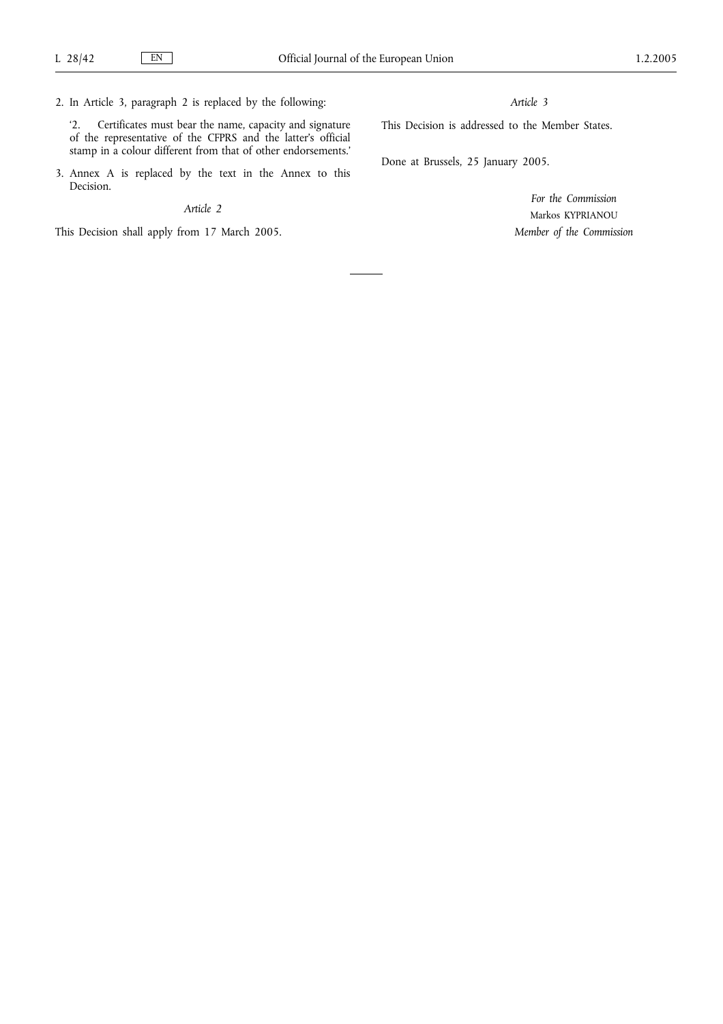2. In Article 3, paragraph 2 is replaced by the following:

'2. Certificates must bear the name, capacity and signature of the representative of the CFPRS and the latter's official stamp in a colour different from that of other endorsements.'

3. Annex A is replaced by the text in the Annex to this Decision.

#### *Article 2*

This Decision shall apply from 17 March 2005.

#### *Article 3*

This Decision is addressed to the Member States.

Done at Brussels, 25 January 2005.

*For the Commission* Markos KYPRIANOU *Member of the Commission*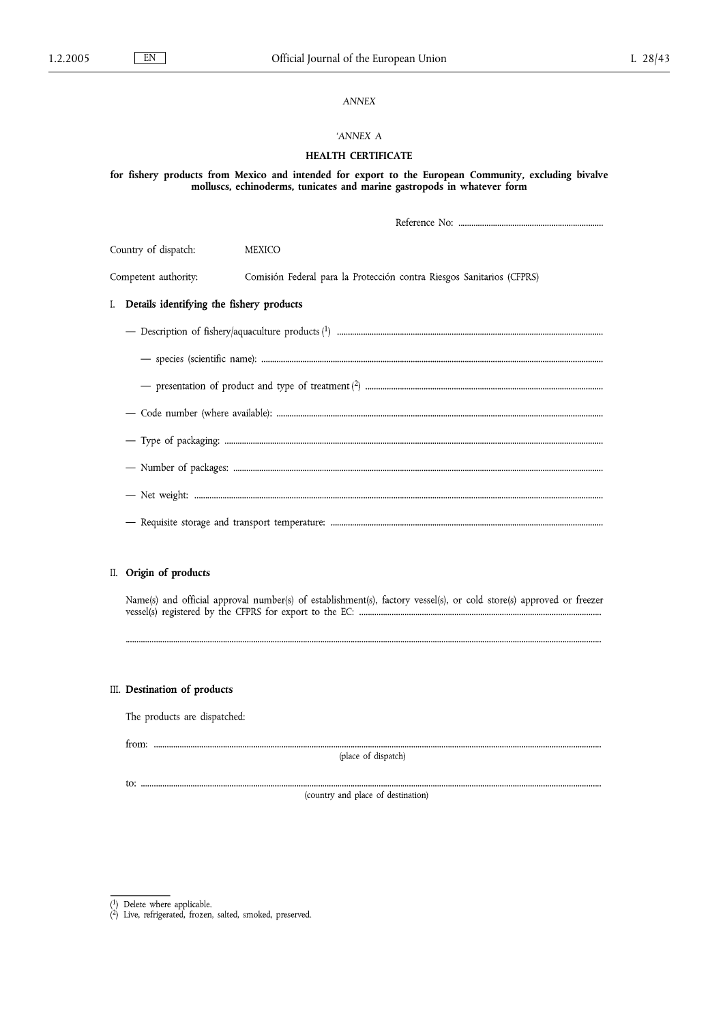# *ANNEX*

## *'ANNEX A*

# **HEALTH CERTIFICATE**

**for fishery products from Mexico and intended for export to the European Community, excluding bivalve molluscs, echinoderms, tunicates and marine gastropods in whatever form**

| Country of dispatch:                        | <b>MEXICO</b>                                                         |  |  |  |
|---------------------------------------------|-----------------------------------------------------------------------|--|--|--|
| Competent authority:                        | Comisión Federal para la Protección contra Riesgos Sanitarios (CFPRS) |  |  |  |
| I. Details identifying the fishery products |                                                                       |  |  |  |
|                                             |                                                                       |  |  |  |
|                                             |                                                                       |  |  |  |
|                                             |                                                                       |  |  |  |
|                                             |                                                                       |  |  |  |
|                                             |                                                                       |  |  |  |
|                                             |                                                                       |  |  |  |
|                                             |                                                                       |  |  |  |
|                                             |                                                                       |  |  |  |
|                                             |                                                                       |  |  |  |

# II. Origin of products

Name(s) and official approval number(s) of establishment(s), factory vessel(s), or cold store(s) approved or freezer 

## III. Destination of products

The products are dispatched:

(place of dispatch)

(country and place of destination)

 $\overline{(^{1})}$  Delete where applicable.<br>  $\overline{(^{2})}$  Live, refrigerated, frozen, salted, smoked, preserved.